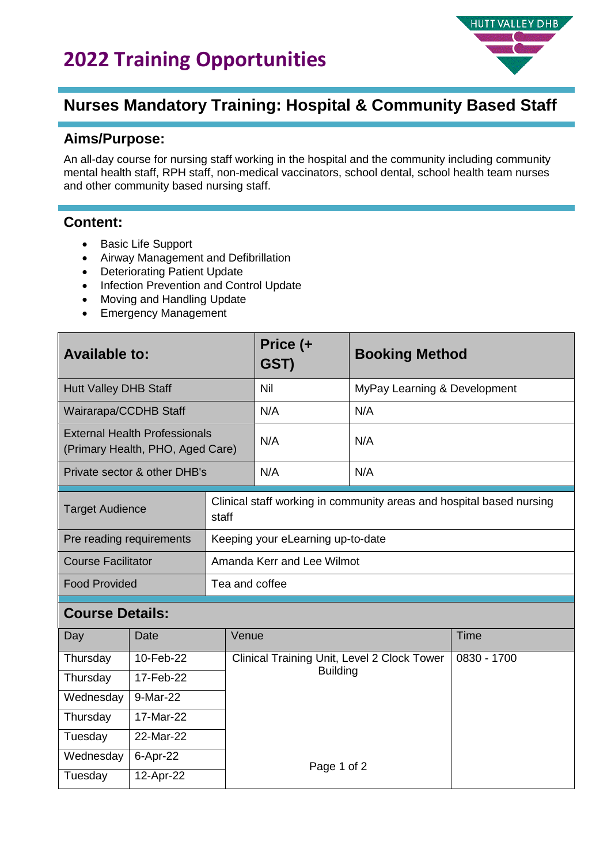## **2022 Training Opportunities**



### **Nurses Mandatory Training: Hospital & Community Based Staff**

#### **Aims/Purpose:**

An all-day course for nursing staff working in the hospital and the community including community mental health staff, RPH staff, non-medical vaccinators, school dental, school health team nurses and other community based nursing staff.

#### **Content:**

• Basic Life Support

Tuesday 12-Apr-22

- Airway Management and Defibrillation
- Deteriorating Patient Update
- Infection Prevention and Control Update
- Moving and Handling Update
- Emergency Management

| <b>Available to:</b>                                                     |               |                                   | Price (+<br>GST)                                                     | <b>Booking Method</b>        |             |  |
|--------------------------------------------------------------------------|---------------|-----------------------------------|----------------------------------------------------------------------|------------------------------|-------------|--|
| <b>Hutt Valley DHB Staff</b>                                             |               |                                   | Nil                                                                  | MyPay Learning & Development |             |  |
| Wairarapa/CCDHB Staff                                                    |               |                                   | N/A                                                                  | N/A                          |             |  |
| <b>External Health Professionals</b><br>(Primary Health, PHO, Aged Care) |               |                                   | N/A                                                                  | N/A                          |             |  |
| Private sector & other DHB's                                             |               |                                   | N/A                                                                  | N/A                          |             |  |
| <b>Target Audience</b>                                                   |               | staff                             | Clinical staff working in community areas and hospital based nursing |                              |             |  |
| Pre reading requirements                                                 |               | Keeping your eLearning up-to-date |                                                                      |                              |             |  |
| <b>Course Facilitator</b>                                                |               | Amanda Kerr and Lee Wilmot        |                                                                      |                              |             |  |
| <b>Food Provided</b>                                                     |               | Tea and coffee                    |                                                                      |                              |             |  |
| <b>Course Details:</b>                                                   |               |                                   |                                                                      |                              |             |  |
| Day                                                                      | Venue<br>Date |                                   |                                                                      |                              | Time        |  |
| Thursday                                                                 | 10-Feb-22     |                                   | Clinical Training Unit, Level 2 Clock Tower                          |                              | 0830 - 1700 |  |
| Thursday                                                                 | 17-Feb-22     |                                   | <b>Building</b><br>Page 1 of 2                                       |                              |             |  |
| Wednesday                                                                | 9-Mar-22      |                                   |                                                                      |                              |             |  |
| Thursday                                                                 | 17-Mar-22     |                                   |                                                                      |                              |             |  |
| Tuesday                                                                  | 22-Mar-22     |                                   |                                                                      |                              |             |  |
| Wednesday                                                                | 6-Apr-22      |                                   |                                                                      |                              |             |  |
|                                                                          |               |                                   |                                                                      |                              |             |  |